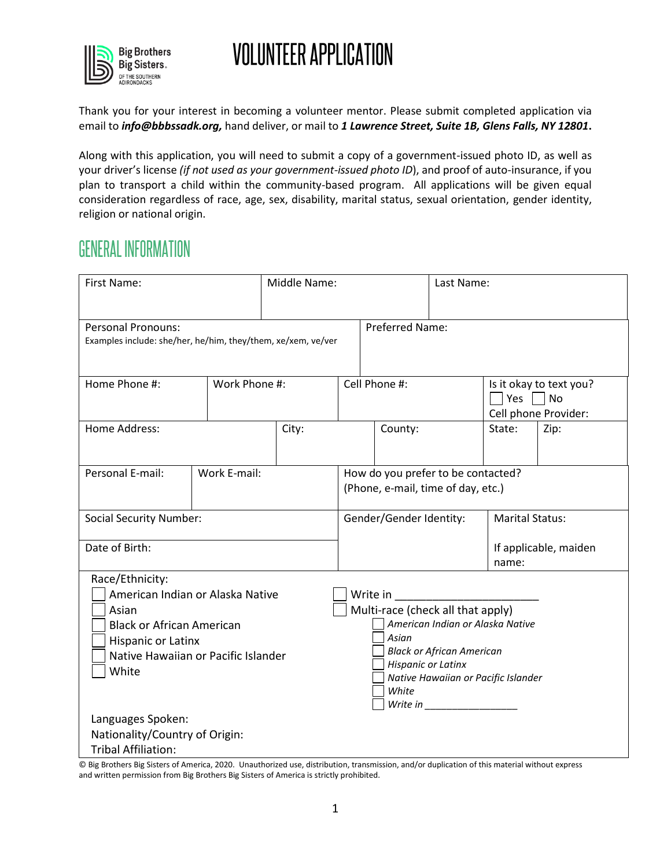

Thank you for your interest in becoming a volunteer mentor. Please submit completed application via email to *info@bbbssadk.org,* hand deliver, or mail to *1 Lawrence Street, Suite 1B, Glens Falls, NY 12801***.**

Along with this application, you will need to submit a copy of a government-issued photo ID, as well as your driver's license *(if not used as your government-issued photo ID*), and proof of auto-insurance, if you plan to transport a child within the community-based program. All applications will be given equal consideration regardless of race, age, sex, disability, marital status, sexual orientation, gender identity, religion or national origin.

### **GENERAL INFORMATION**

| <b>Preferred Name:</b><br><b>Personal Pronouns:</b>                                           |                                                                         |  |  |  |
|-----------------------------------------------------------------------------------------------|-------------------------------------------------------------------------|--|--|--|
| Examples include: she/her, he/him, they/them, xe/xem, ve/ver                                  |                                                                         |  |  |  |
| Home Phone #:<br>Work Phone #:<br>Cell Phone #:                                               | Is it okay to text you?<br>$\Box$ Yes $\Box$ No<br>Cell phone Provider: |  |  |  |
| Home Address:<br>City:<br>State:<br>County:                                                   | Zip:                                                                    |  |  |  |
| Personal E-mail:<br>Work E-mail:<br>How do you prefer to be contacted?                        |                                                                         |  |  |  |
| (Phone, e-mail, time of day, etc.)                                                            |                                                                         |  |  |  |
| Gender/Gender Identity:<br><b>Marital Status:</b><br><b>Social Security Number:</b>           |                                                                         |  |  |  |
| Date of Birth:<br>If applicable, maiden<br>name:                                              |                                                                         |  |  |  |
| Race/Ethnicity:                                                                               |                                                                         |  |  |  |
| American Indian or Alaska Native<br>Write in                                                  |                                                                         |  |  |  |
| Multi-race (check all that apply)<br>Asian                                                    |                                                                         |  |  |  |
| American Indian or Alaska Native<br><b>Black or African American</b><br>Asian                 |                                                                         |  |  |  |
| Hispanic or Latinx<br><b>Black or African American</b><br>Native Hawaiian or Pacific Islander |                                                                         |  |  |  |
| <b>Hispanic or Latinx</b><br>White                                                            |                                                                         |  |  |  |
| Native Hawaiian or Pacific Islander                                                           |                                                                         |  |  |  |
| White                                                                                         |                                                                         |  |  |  |
| Languages Spoken:                                                                             |                                                                         |  |  |  |
| Nationality/Country of Origin:                                                                |                                                                         |  |  |  |
| <b>Tribal Affiliation:</b>                                                                    |                                                                         |  |  |  |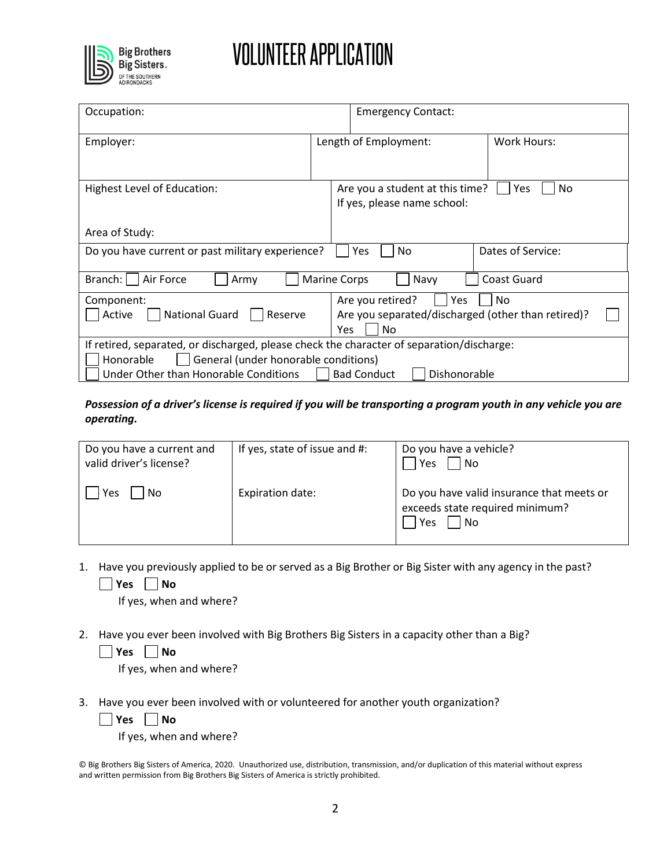

| Occupation:                                                                                                                                                                                                                   |                     | <b>Emergency Contact:</b>                                                                        |                   |  |
|-------------------------------------------------------------------------------------------------------------------------------------------------------------------------------------------------------------------------------|---------------------|--------------------------------------------------------------------------------------------------|-------------------|--|
| Employer:                                                                                                                                                                                                                     |                     | Length of Employment:                                                                            | Work Hours:       |  |
| Highest Level of Education:                                                                                                                                                                                                   |                     | Are you a student at this time?<br>Yes<br>No.<br>If yes, please name school:                     |                   |  |
| Area of Study:                                                                                                                                                                                                                |                     |                                                                                                  |                   |  |
| Do you have current or past military experience?                                                                                                                                                                              |                     | No.<br>Yes                                                                                       | Dates of Service: |  |
| Branch: I<br>Air Force<br>Army                                                                                                                                                                                                | <b>Marine Corps</b> | Navy                                                                                             | Coast Guard       |  |
| Component:<br><b>National Guard</b><br>Active<br>Reserve                                                                                                                                                                      |                     | No<br>Are you retired?<br>Yes<br>Are you separated/discharged (other than retired)?<br>Yes<br>No |                   |  |
| If retired, separated, or discharged, please check the character of separation/discharge:<br>General (under honorable conditions)<br>Honorable<br>Under Other than Honorable Conditions<br><b>Bad Conduct</b><br>Dishonorable |                     |                                                                                                  |                   |  |

*Possession of a driver's license is required if you will be transporting a program youth in any vehicle you are operating.* 

| Do you have a current and<br>valid driver's license? | If yes, state of issue and #: | Do you have a vehicle?<br>  No<br>Yes                                                       |
|------------------------------------------------------|-------------------------------|---------------------------------------------------------------------------------------------|
| No<br>Yes                                            | Expiration date:              | Do you have valid insurance that meets or<br>exceeds state required minimum?<br>l No<br>Yes |

1. Have you previously applied to be or served as a Big Brother or Big Sister with any agency in the past? **Yes No**

If yes, when and where?

2. Have you ever been involved with Big Brothers Big Sisters in a capacity other than a Big? **Yes No**

If yes, when and where?

3. Have you ever been involved with or volunteered for another youth organization?

**Yes No**

If yes, when and where?

<sup>©</sup> Big Brothers Big Sisters of America, 2020. Unauthorized use, distribution, transmission, and/or duplication of this material without express and written permission from Big Brothers Big Sisters of America is strictly prohibited.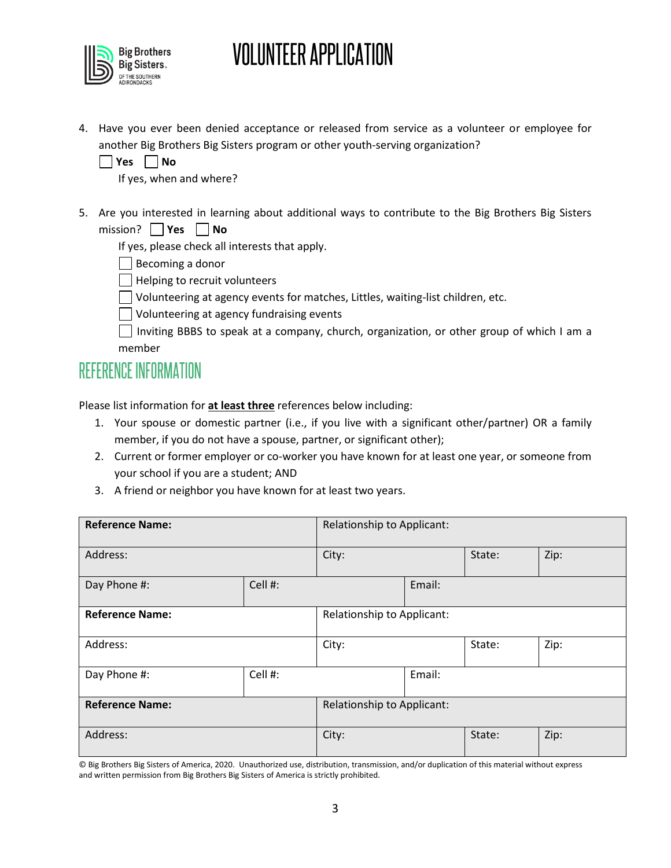

4. Have you ever been denied acceptance or released from service as a volunteer or employee for another Big Brothers Big Sisters program or other youth-serving organization?

| Ves | N٥ |
|-----|----|
|     |    |

If yes, when and where?

5. Are you interested in learning about additional ways to contribute to the Big Brothers Big Sisters mission? **Yes No** 

If yes, please check all interests that apply.

Becoming a donor

- Helping to recruit volunteers
- Volunteering at agency events for matches, Littles, waiting-list children, etc.
- Volunteering at agency fundraising events
- $\Box$  Inviting BBBS to speak at a company, church, organization, or other group of which I am a member

### **REFERENCE INFORMATION**

Please list information for **at least three** references below including:

- 1. Your spouse or domestic partner (i.e., if you live with a significant other/partner) OR a family member, if you do not have a spouse, partner, or significant other);
- 2. Current or former employer or co-worker you have known for at least one year, or someone from your school if you are a student; AND
- 3. A friend or neighbor you have known for at least two years.

| <b>Reference Name:</b>  |         | Relationship to Applicant: |        |        |      |
|-------------------------|---------|----------------------------|--------|--------|------|
| Address:                |         | City:                      |        | State: | Zip: |
| Cell #:<br>Day Phone #: |         | Email:                     |        |        |      |
| <b>Reference Name:</b>  |         | Relationship to Applicant: |        |        |      |
| Address:                |         | City:                      |        | State: | Zip: |
| Day Phone #:            | Cell #: |                            | Email: |        |      |
| <b>Reference Name:</b>  |         | Relationship to Applicant: |        |        |      |
| Address:                |         | City:                      |        | State: | Zip: |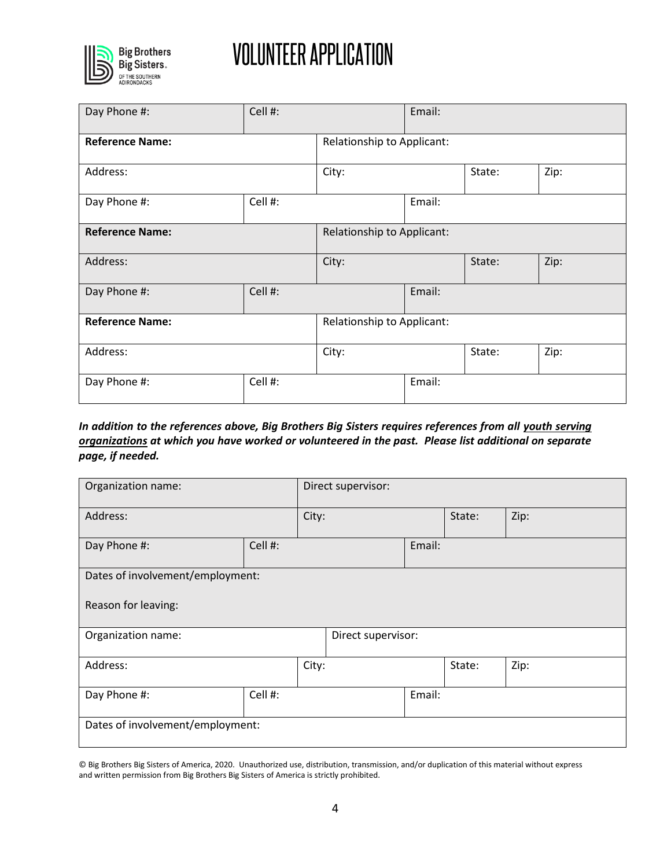

| Day Phone #:           | Cell #: |                            | Email:                     |        |      |
|------------------------|---------|----------------------------|----------------------------|--------|------|
| <b>Reference Name:</b> |         | Relationship to Applicant: |                            |        |      |
| Address:               |         | City:                      |                            | State: | Zip: |
| Day Phone #:           | Cell #: |                            | Email:                     |        |      |
| <b>Reference Name:</b> |         |                            | Relationship to Applicant: |        |      |
| Address:               |         | City:                      |                            | State: | Zip: |
| Day Phone #:           | Cell #: |                            | Email:                     |        |      |
| <b>Reference Name:</b> |         |                            | Relationship to Applicant: |        |      |
| Address:               | City:   |                            |                            | State: | Zip: |
| Day Phone #:           | Cell #: |                            | Email:                     |        |      |

### *In addition to the references above, Big Brothers Big Sisters requires references from all youth serving organizations at which you have worked or volunteered in the past. Please list additional on separate page, if needed.*

| Organization name:               |         |  | Direct supervisor: |        |        |      |
|----------------------------------|---------|--|--------------------|--------|--------|------|
| Address:                         | City:   |  |                    |        | State: | Zip: |
| Day Phone #:                     | Cell #: |  | Email:             |        |        |      |
| Dates of involvement/employment: |         |  |                    |        |        |      |
| Reason for leaving:              |         |  |                    |        |        |      |
| Organization name:               |         |  | Direct supervisor: |        |        |      |
| Address:                         | City:   |  |                    |        | State: | Zip: |
| Day Phone #:                     | Cell #: |  |                    | Email: |        |      |
| Dates of involvement/employment: |         |  |                    |        |        |      |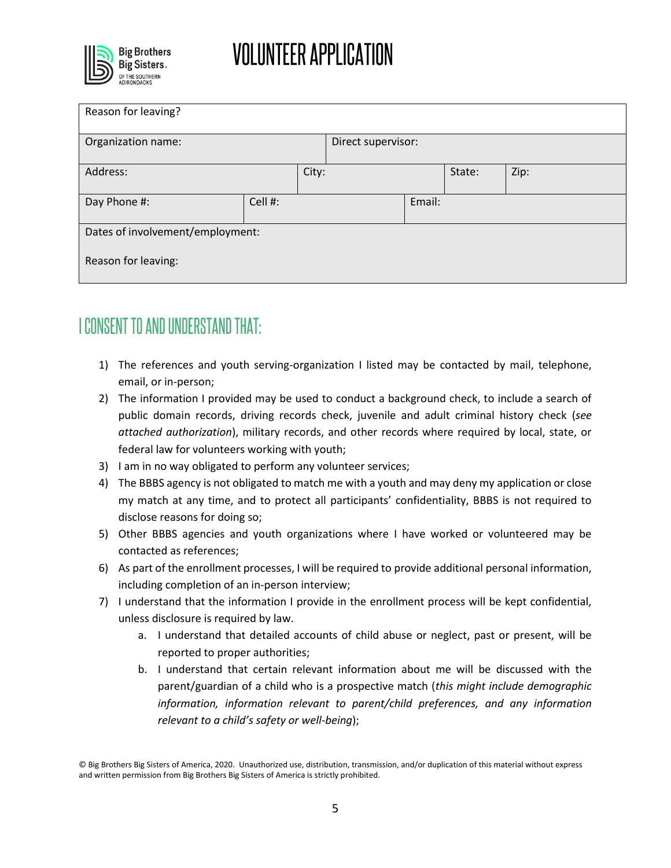

| Reason for leaving?              |         |                    |  |        |        |      |
|----------------------------------|---------|--------------------|--|--------|--------|------|
| Organization name:               |         | Direct supervisor: |  |        |        |      |
| Address:                         |         | City:              |  |        | State: | Zip: |
| Day Phone #:                     | Cell #: |                    |  | Email: |        |      |
| Dates of involvement/employment: |         |                    |  |        |        |      |
| Reason for leaving:              |         |                    |  |        |        |      |

## I CONSENT TO AND UNDERSTAND THAT:

- 1) The references and youth serving-organization I listed may be contacted by mail, telephone, email, or in-person;
- 2) The information I provided may be used to conduct a background check, to include a search of public domain records, driving records check, juvenile and adult criminal history check (*see attached authorization*), military records, and other records where required by local, state, or federal law for volunteers working with youth;
- 3) I am in no way obligated to perform any volunteer services;
- 4) The BBBS agency is not obligated to match me with a youth and may deny my application or close my match at any time, and to protect all participants' confidentiality, BBBS is not required to disclose reasons for doing so;
- 5) Other BBBS agencies and youth organizations where I have worked or volunteered may be contacted as references;
- 6) As part of the enrollment processes, I will be required to provide additional personal information, including completion of an in-person interview;
- 7) I understand that the information I provide in the enrollment process will be kept confidential, unless disclosure is required by law.
	- a. I understand that detailed accounts of child abuse or neglect, past or present, will be reported to proper authorities;
	- b. I understand that certain relevant information about me will be discussed with the parent/guardian of a child who is a prospective match (*this might include demographic information, information relevant to parent/child preferences, and any information relevant to a child's safety or well-being*);

<sup>©</sup> Big Brothers Big Sisters of America, 2020. Unauthorized use, distribution, transmission, and/or duplication of this material without express and written permission from Big Brothers Big Sisters of America is strictly prohibited.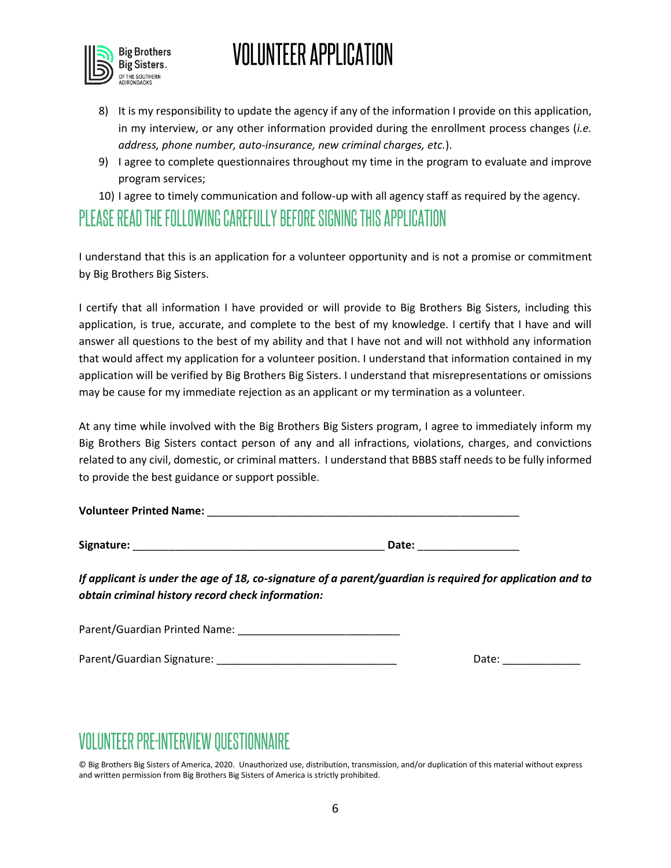

- 8) It is my responsibility to update the agency if any of the information I provide on this application, in my interview, or any other information provided during the enrollment process changes (*i.e. address, phone number, auto-insurance, new criminal charges, etc.*).
- 9) I agree to complete questionnaires throughout my time in the program to evaluate and improve program services;
- 10) I agree to timely communication and follow-up with all agency staff as required by the agency.

### PI FASE READ THE FOLLOWING CAREFULLY BEFORE SIGNING THIS APPLICATION

I understand that this is an application for a volunteer opportunity and is not a promise or commitment by Big Brothers Big Sisters.

I certify that all information I have provided or will provide to Big Brothers Big Sisters, including this application, is true, accurate, and complete to the best of my knowledge. I certify that I have and will answer all questions to the best of my ability and that I have not and will not withhold any information that would affect my application for a volunteer position. I understand that information contained in my application will be verified by Big Brothers Big Sisters. I understand that misrepresentations or omissions may be cause for my immediate rejection as an applicant or my termination as a volunteer.

At any time while involved with the Big Brothers Big Sisters program, I agree to immediately inform my Big Brothers Big Sisters contact person of any and all infractions, violations, charges, and convictions related to any civil, domestic, or criminal matters. I understand that BBBS staff needs to be fully informed to provide the best guidance or support possible.

| <b>Volunteer Printed Name:</b> |  |  |
|--------------------------------|--|--|
|                                |  |  |

Signature: **Example 20 and 20 and 20 and 20 and 20 and 20 and 20 and 20 and 20 and 20 and 20 and 20 and 20 and 20 and 20 and 20 and 20 and 20 and 20 and 20 and 20 and 20 and 20 and 20 and 20 and 20 and 20 and 20 and 20 and** 

*If applicant is under the age of 18, co-signature of a parent/guardian is required for application and to obtain criminal history record check information:*

| Parent/Guardian Printed Name: |  |
|-------------------------------|--|
|                               |  |

| Parent/Guardian Signature: | Date: |
|----------------------------|-------|
|----------------------------|-------|

## **VOLUNTEER PRE-INTERVIEW QUESTIONNAIRE**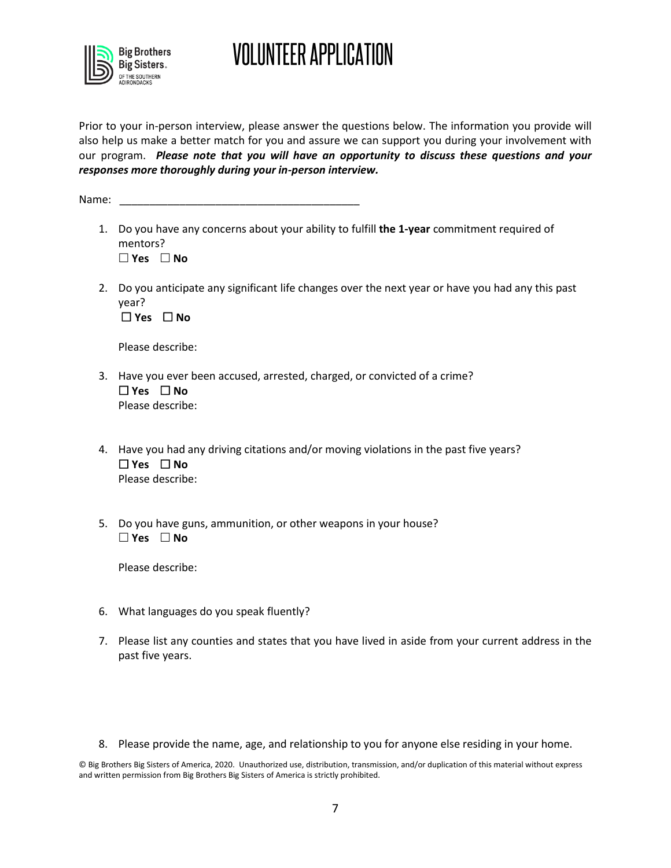

Prior to your in-person interview, please answer the questions below. The information you provide will also help us make a better match for you and assure we can support you during your involvement with our program. *Please note that you will have an opportunity to discuss these questions and your responses more thoroughly during your in-person interview.*

Name:

- 1. Do you have any concerns about your ability to fulfill **the 1-year** commitment required of mentors? **Yes No**
- 2. Do you anticipate any significant life changes over the next year or have you had any this past year?

**Yes No**

Please describe:

- 3. Have you ever been accused, arrested, charged, or convicted of a crime? **Yes No** Please describe:
- 4. Have you had any driving citations and/or moving violations in the past five years? **Yes No** Please describe:
- 5. Do you have guns, ammunition, or other weapons in your house? **Yes No**

Please describe:

- 6. What languages do you speak fluently?
- 7. Please list any counties and states that you have lived in aside from your current address in the past five years.
- 8. Please provide the name, age, and relationship to you for anyone else residing in your home.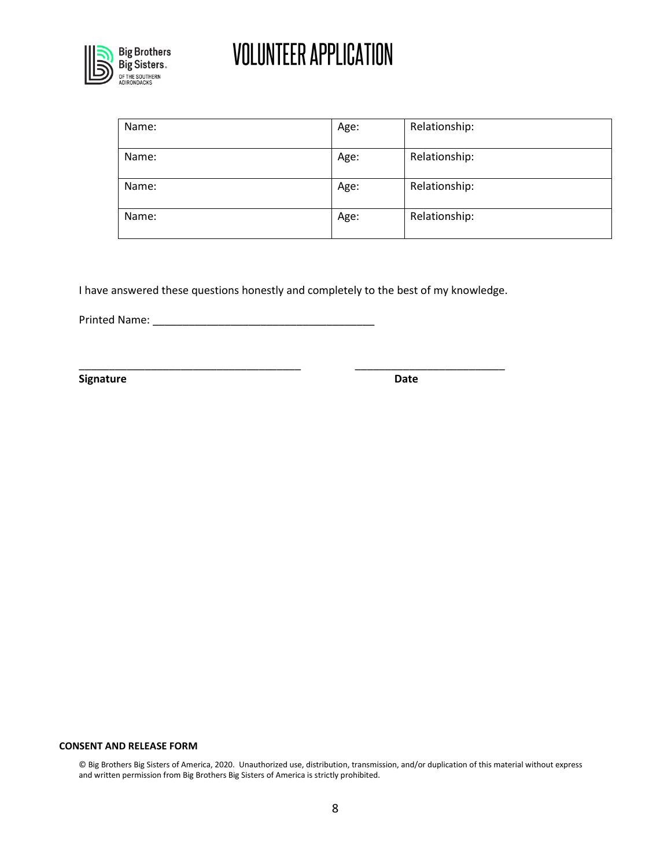

| Name: | Age: | Relationship: |
|-------|------|---------------|
| Name: | Age: | Relationship: |
| Name: | Age: | Relationship: |
| Name: | Age: | Relationship: |

I have answered these questions honestly and completely to the best of my knowledge.

\_\_\_\_\_\_\_\_\_\_\_\_\_\_\_\_\_\_\_\_\_\_\_\_\_\_\_\_\_\_\_\_\_\_\_\_\_ \_\_\_\_\_\_\_\_\_\_\_\_\_\_\_\_\_\_\_\_\_\_\_\_\_

Printed Name: \_\_\_\_\_\_\_\_\_\_\_\_\_\_\_\_\_\_\_\_\_\_\_\_\_\_\_\_\_\_\_\_\_\_\_\_\_

**Signature Date**

#### **CONSENT AND RELEASE FORM**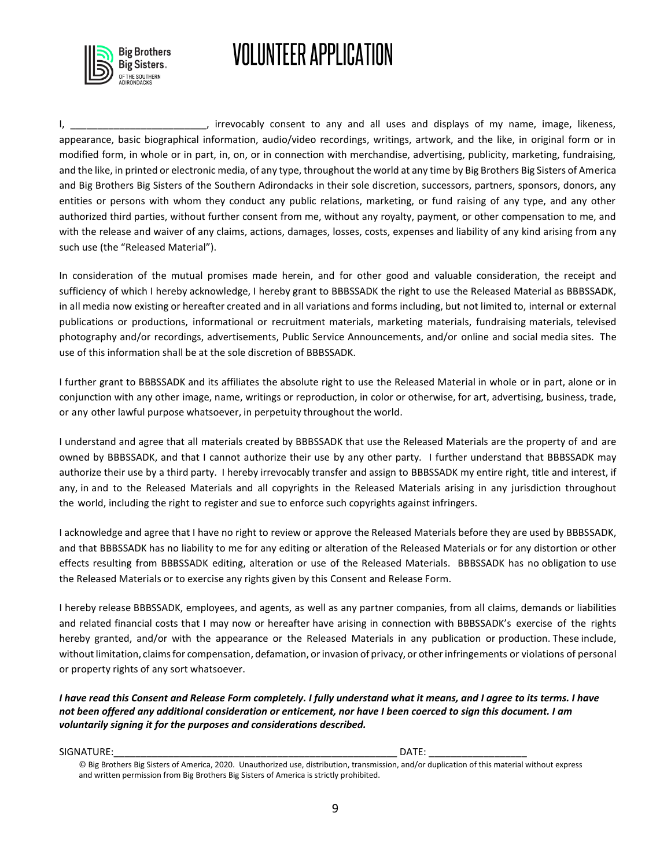

I, \_\_\_\_\_\_\_\_\_\_\_\_\_\_\_\_\_\_\_\_\_\_\_\_\_, irrevocably consent to any and all uses and displays of my name, image, likeness, appearance, basic biographical information, audio/video recordings, writings, artwork, and the like, in original form or in modified form, in whole or in part, in, on, or in connection with merchandise, advertising, publicity, marketing, fundraising, and the like, in printed or electronic media, of any type, throughout the world at any time by Big Brothers Big Sisters of America and Big Brothers Big Sisters of the Southern Adirondacks in their sole discretion, successors, partners, sponsors, donors, any entities or persons with whom they conduct any public relations, marketing, or fund raising of any type, and any other authorized third parties, without further consent from me, without any royalty, payment, or other compensation to me, and with the release and waiver of any claims, actions, damages, losses, costs, expenses and liability of any kind arising from any such use (the "Released Material").

In consideration of the mutual promises made herein, and for other good and valuable consideration, the receipt and sufficiency of which I hereby acknowledge, I hereby grant to BBBSSADK the right to use the Released Material as BBBSSADK, in all media now existing or hereafter created and in all variations and forms including, but not limited to, internal or external publications or productions, informational or recruitment materials, marketing materials, fundraising materials, televised photography and/or recordings, advertisements, Public Service Announcements, and/or online and social media sites. The use of this information shall be at the sole discretion of BBBSSADK.

I further grant to BBBSSADK and its affiliates the absolute right to use the Released Material in whole or in part, alone or in conjunction with any other image, name, writings or reproduction, in color or otherwise, for art, advertising, business, trade, or any other lawful purpose whatsoever, in perpetuity throughout the world.

I understand and agree that all materials created by BBBSSADK that use the Released Materials are the property of and are owned by BBBSSADK, and that I cannot authorize their use by any other party. I further understand that BBBSSADK may authorize their use by a third party. I hereby irrevocably transfer and assign to BBBSSADK my entire right, title and interest, if any, in and to the Released Materials and all copyrights in the Released Materials arising in any jurisdiction throughout the world, including the right to register and sue to enforce such copyrights against infringers.

I acknowledge and agree that I have no right to review or approve the Released Materials before they are used by BBBSSADK, and that BBBSSADK has no liability to me for any editing or alteration of the Released Materials or for any distortion or other effects resulting from BBBSSADK editing, alteration or use of the Released Materials. BBBSSADK has no obligation to use the Released Materials or to exercise any rights given by this Consent and Release Form.

I hereby release BBBSSADK, employees, and agents, as well as any partner companies, from all claims, demands or liabilities and related financial costs that I may now or hereafter have arising in connection with BBBSSADK's exercise of the rights hereby granted, and/or with the appearance or the Released Materials in any publication or production. These include, without limitation, claims for compensation, defamation, or invasion of privacy, or other infringements or violations of personal or property rights of any sort whatsoever.

*I have read this Consent and Release Form completely. I fully understand what it means, and I agree to its terms. I have not been offered any additional consideration or enticement, nor have I been coerced to sign this document. I am voluntarily signing it for the purposes and considerations described.* 

SIGNATURE:\_\_\_\_\_\_\_\_\_\_\_\_\_\_\_\_\_\_\_\_\_\_\_\_\_\_\_\_\_\_\_\_\_\_\_\_\_\_\_\_\_\_\_\_\_\_\_\_\_\_\_\_ DATE: \_\_\_\_\_\_\_\_\_\_\_\_\_\_\_\_\_\_

<sup>©</sup> Big Brothers Big Sisters of America, 2020. Unauthorized use, distribution, transmission, and/or duplication of this material without express and written permission from Big Brothers Big Sisters of America is strictly prohibited.